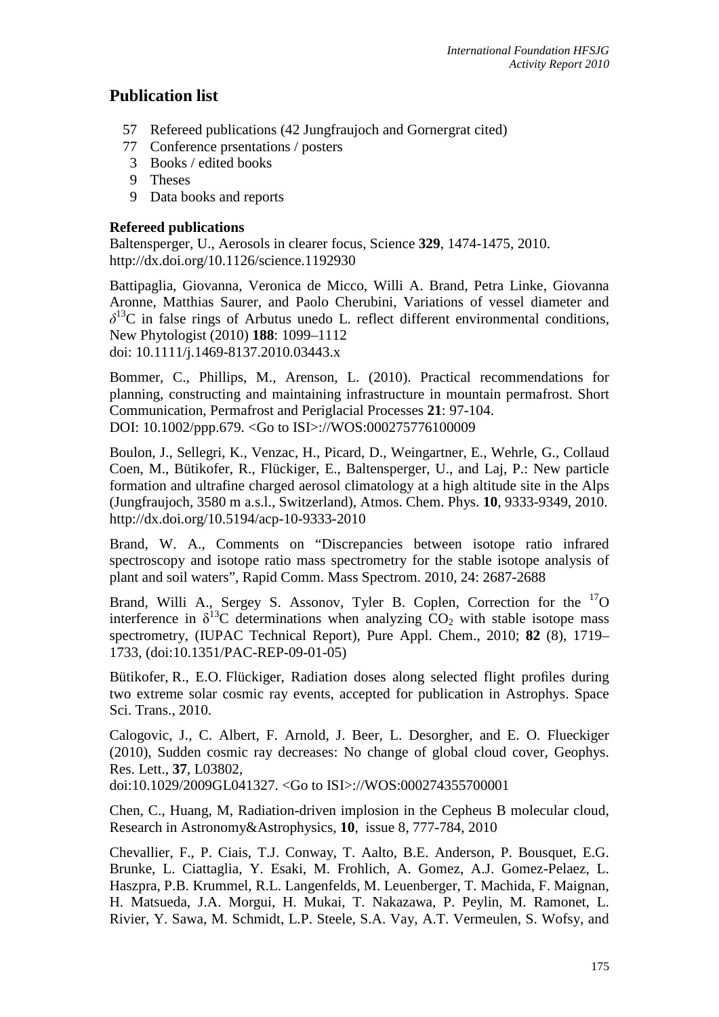# **Publication list**

- 57 Refereed publications (42 Jungfraujoch and Gornergrat cited)
- 77 Conference prsentations / posters
- 3 Books / edited books
- 9 Theses
- 9 Data books and reports

## **Refereed publications**

Baltensperger, U., Aerosols in clearer focus, Science **329**, 1474-1475, 2010. http://dx.doi.org/10.1126/science.1192930

Battipaglia, Giovanna, Veronica de Micco, Willi A. Brand, Petra Linke, Giovanna Aronne, Matthias Saurer, and Paolo Cherubini, Variations of vessel diameter and  $\delta^{13}$ C in false rings of Arbutus unedo L. reflect different environmental conditions, New Phytologist (2010) **188**: 1099–1112 doi: 10.1111/j.1469-8137.2010.03443.x

Bommer, C., Phillips, M., Arenson, L. (2010). Practical recommendations for planning, constructing and maintaining infrastructure in mountain permafrost. Short Communication, Permafrost and Periglacial Processes **21**: 97-104. DOI: 10.1002/ppp.679. <Go to ISI>://WOS:000275776100009

Boulon, J., Sellegri, K., Venzac, H., Picard, D., Weingartner, E., Wehrle, G., Collaud Coen, M., Bütikofer, R., Flückiger, E., Baltensperger, U., and Laj, P.: New particle formation and ultrafine charged aerosol climatology at a high altitude site in the Alps (Jungfraujoch, 3580 m a.s.l., Switzerland), Atmos. Chem. Phys. **10**, 9333-9349, 2010. http://dx.doi.org/10.5194/acp-10-9333-2010

Brand, W. A., Comments on "Discrepancies between isotope ratio infrared spectroscopy and isotope ratio mass spectrometry for the stable isotope analysis of plant and soil waters", Rapid Comm. Mass Spectrom. 2010, 24: 2687-2688

Brand, Willi A., Sergey S. Assonov, Tyler B. Coplen, Correction for the <sup>17</sup>O interference in  $\delta^{13}$ C determinations when analyzing CO<sub>2</sub> with stable isotope mass spectrometry, (IUPAC Technical Report), Pure Appl. Chem., 2010; **82** (8), 1719– 1733, (doi:10.1351/PAC-REP-09-01-05)

Bütikofer, R., E.O. Flückiger, Radiation doses along selected flight profiles during two extreme solar cosmic ray events, accepted for publication in Astrophys. Space Sci. Trans., 2010.

Calogovic, J., C. Albert, F. Arnold, J. Beer, L. Desorgher, and E. O. Flueckiger (2010), Sudden cosmic ray decreases: No change of global cloud cover, Geophys. Res. Lett., **37**, L03802,

doi:10.1029/2009GL041327. <Go to ISI>://WOS:000274355700001

Chen, C., Huang, M, Radiation-driven implosion in the Cepheus B molecular cloud, Research in Astronomy&Astrophysics, **10**, issue 8, 777-784, 2010

Chevallier, F., P. Ciais, T.J. Conway, T. Aalto, B.E. Anderson, P. Bousquet, E.G. Brunke, L. Ciattaglia, Y. Esaki, M. Frohlich, A. Gomez, A.J. Gomez-Pelaez, L. Haszpra, P.B. Krummel, R.L. Langenfelds, M. Leuenberger, T. Machida, F. Maignan, H. Matsueda, J.A. Morgui, H. Mukai, T. Nakazawa, P. Peylin, M. Ramonet, L. Rivier, Y. Sawa, M. Schmidt, L.P. Steele, S.A. Vay, A.T. Vermeulen, S. Wofsy, and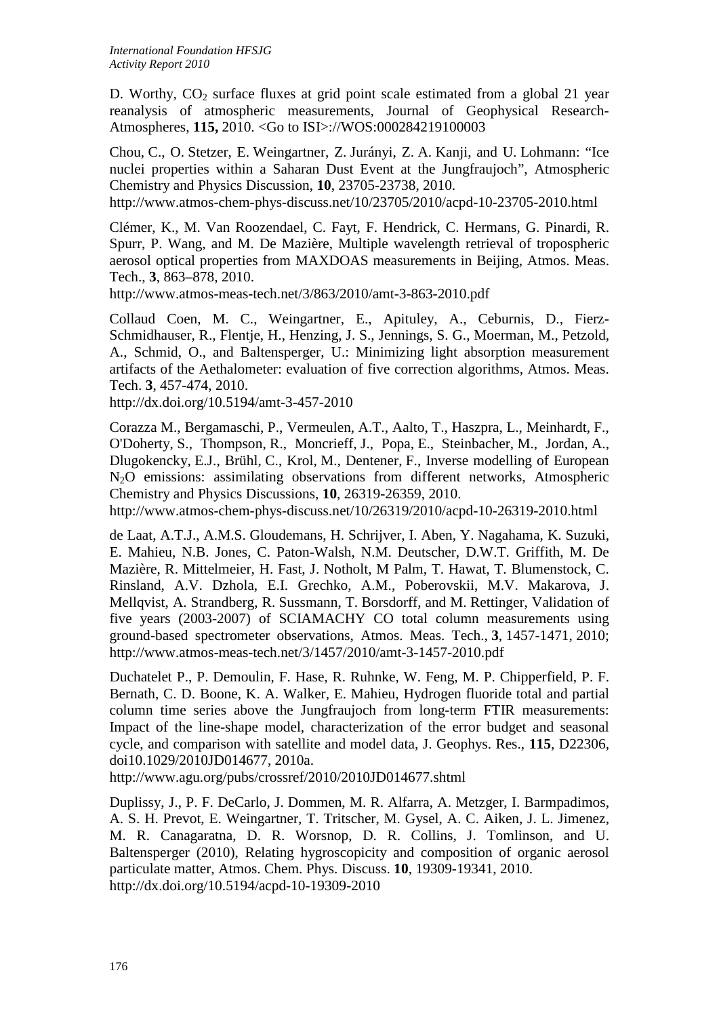D. Worthy,  $CO<sub>2</sub>$  surface fluxes at grid point scale estimated from a global 21 year reanalysis of atmospheric measurements, Journal of Geophysical Research-Atmospheres, **115,** 2010. <Go to ISI>://WOS:000284219100003

Chou, C., O. Stetzer, E. Weingartner, Z. Jurányi, Z. A. Kanji, and U. Lohmann: "Ice nuclei properties within a Saharan Dust Event at the Jungfraujoch", Atmospheric Chemistry and Physics Discussion, **10**, 23705-23738, 2010. http://www.atmos-chem-phys-discuss.net/10/23705/2010/acpd-10-23705-2010.html

Clémer, K., M. Van Roozendael, C. Fayt, F. Hendrick, C. Hermans, G. Pinardi, R.

Spurr, P. Wang, and M. De Mazière, Multiple wavelength retrieval of tropospheric aerosol optical properties from MAXDOAS measurements in Beijing, Atmos. Meas. Tech., **3**, 863–878, 2010.

http://www.atmos-meas-tech.net/3/863/2010/amt-3-863-2010.pdf

Collaud Coen, M. C., Weingartner, E., Apituley, A., Ceburnis, D., Fierz-Schmidhauser, R., Flentje, H., Henzing, J. S., Jennings, S. G., Moerman, M., Petzold, A., Schmid, O., and Baltensperger, U.: Minimizing light absorption measurement artifacts of the Aethalometer: evaluation of five correction algorithms, Atmos. Meas. Tech. **3**, 457-474, 2010.

http://dx.doi.org/10.5194/amt-3-457-2010

Corazza M., Bergamaschi, P., Vermeulen, A.T., Aalto, T., Haszpra, L., Meinhardt, F., O'Doherty, S., Thompson, R., Moncrieff, J., Popa, E., Steinbacher, M., Jordan, A., Dlugokencky, E.J., Brühl, C., Krol, M., Dentener, F., Inverse modelling of European N2O emissions: assimilating observations from different networks, Atmospheric Chemistry and Physics Discussions, **10**, 26319-26359, 2010.

http://www.atmos-chem-phys-discuss.net/10/26319/2010/acpd-10-26319-2010.html

de Laat, A.T.J., A.M.S. Gloudemans, H. Schrijver, I. Aben, Y. Nagahama, K. Suzuki, E. Mahieu, N.B. Jones, C. Paton-Walsh, N.M. Deutscher, D.W.T. Griffith, M. De Mazière, R. Mittelmeier, H. Fast, J. Notholt, M Palm, T. Hawat, T. Blumenstock, C. Rinsland, A.V. Dzhola, E.I. Grechko, A.M., Poberovskii, M.V. Makarova, J. Mellqvist, A. Strandberg, R. Sussmann, T. Borsdorff, and M. Rettinger, Validation of five years (2003-2007) of SCIAMACHY CO total column measurements using ground-based spectrometer observations, Atmos. Meas. Tech., **3**, 1457-1471, 2010; http://www.atmos-meas-tech.net/3/1457/2010/amt-3-1457-2010.pdf

Duchatelet P., P. Demoulin, F. Hase, R. Ruhnke, W. Feng, M. P. Chipperfield, P. F. Bernath, C. D. Boone, K. A. Walker, E. Mahieu, Hydrogen fluoride total and partial column time series above the Jungfraujoch from long-term FTIR measurements: Impact of the line-shape model, characterization of the error budget and seasonal cycle, and comparison with satellite and model data, J. Geophys. Res., **115**, D22306, doi10.1029/2010JD014677, 2010a.

http://www.agu.org/pubs/crossref/2010/2010JD014677.shtml

Duplissy, J., P. F. DeCarlo, J. Dommen, M. R. Alfarra, A. Metzger, I. Barmpadimos, A. S. H. Prevot, E. Weingartner, T. Tritscher, M. Gysel, A. C. Aiken, J. L. Jimenez, M. R. Canagaratna, D. R. Worsnop, D. R. Collins, J. Tomlinson, and U. Baltensperger (2010), Relating hygroscopicity and composition of organic aerosol particulate matter, Atmos. Chem. Phys. Discuss. **10**, 19309-19341, 2010. http://dx.doi.org/10.5194/acpd-10-19309-2010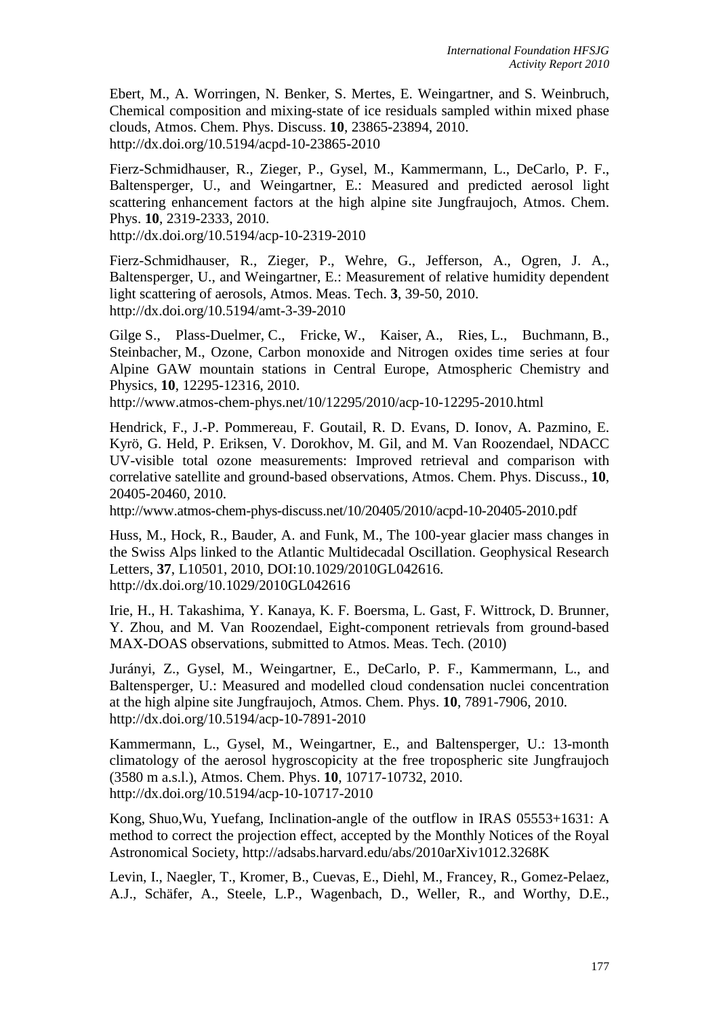Ebert, M., A. Worringen, N. Benker, S. Mertes, E. Weingartner, and S. Weinbruch, Chemical composition and mixing-state of ice residuals sampled within mixed phase clouds, Atmos. Chem. Phys. Discuss. **10**, 23865-23894, 2010. http://dx.doi.org/10.5194/acpd-10-23865-2010

Fierz-Schmidhauser, R., Zieger, P., Gysel, M., Kammermann, L., DeCarlo, P. F., Baltensperger, U., and Weingartner, E.: Measured and predicted aerosol light scattering enhancement factors at the high alpine site Jungfraujoch, Atmos. Chem. Phys. **10**, 2319-2333, 2010.

http://dx.doi.org/10.5194/acp-10-2319-2010

Fierz-Schmidhauser, R., Zieger, P., Wehre, G., Jefferson, A., Ogren, J. A., Baltensperger, U., and Weingartner, E.: Measurement of relative humidity dependent light scattering of aerosols, Atmos. Meas. Tech. **3**, 39-50, 2010. http://dx.doi.org/10.5194/amt-3-39-2010

Gilge S., Plass-Duelmer, C., Fricke, W., Kaiser, A., Ries, L., Buchmann, B., Steinbacher, M., Ozone, Carbon monoxide and Nitrogen oxides time series at four Alpine GAW mountain stations in Central Europe, Atmospheric Chemistry and Physics, **10**, 12295-12316, 2010.

http://www.atmos-chem-phys.net/10/12295/2010/acp-10-12295-2010.html

Hendrick, F., J.-P. Pommereau, F. Goutail, R. D. Evans, D. Ionov, A. Pazmino, E. Kyrö, G. Held, P. Eriksen, V. Dorokhov, M. Gil, and M. Van Roozendael, NDACC UV-visible total ozone measurements: Improved retrieval and comparison with correlative satellite and ground-based observations, Atmos. Chem. Phys. Discuss., **10**, 20405-20460, 2010.

http://www.atmos-chem-phys-discuss.net/10/20405/2010/acpd-10-20405-2010.pdf

Huss, M., Hock, R., Bauder, A. and Funk, M., The 100-year glacier mass changes in the Swiss Alps linked to the Atlantic Multidecadal Oscillation. Geophysical Research Letters, **37**, L10501, 2010, DOI:10.1029/2010GL042616. http://dx.doi.org/10.1029/2010GL042616

Irie, H., H. Takashima, Y. Kanaya, K. F. Boersma, L. Gast, F. Wittrock, D. Brunner, Y. Zhou, and M. Van Roozendael, Eight-component retrievals from ground-based MAX-DOAS observations, submitted to Atmos. Meas. Tech. (2010)

Jurányi, Z., Gysel, M., Weingartner, E., DeCarlo, P. F., Kammermann, L., and Baltensperger, U.: Measured and modelled cloud condensation nuclei concentration at the high alpine site Jungfraujoch, Atmos. Chem. Phys. **10**, 7891-7906, 2010. http://dx.doi.org/10.5194/acp-10-7891-2010

Kammermann, L., Gysel, M., Weingartner, E., and Baltensperger, U.: 13-month climatology of the aerosol hygroscopicity at the free tropospheric site Jungfraujoch (3580 m a.s.l.), Atmos. Chem. Phys. **10**, 10717-10732, 2010. http://dx.doi.org/10.5194/acp-10-10717-2010

Kong, Shuo,Wu, Yuefang, Inclination-angle of the outflow in IRAS 05553+1631: A method to correct the projection effect, accepted by the Monthly Notices of the Royal Astronomical Society, http://adsabs.harvard.edu/abs/2010arXiv1012.3268K

Levin, I., Naegler, T., Kromer, B., Cuevas, E., Diehl, M., Francey, R., Gomez-Pelaez, A.J., Schäfer, A., Steele, L.P., Wagenbach, D., Weller, R., and Worthy, D.E.,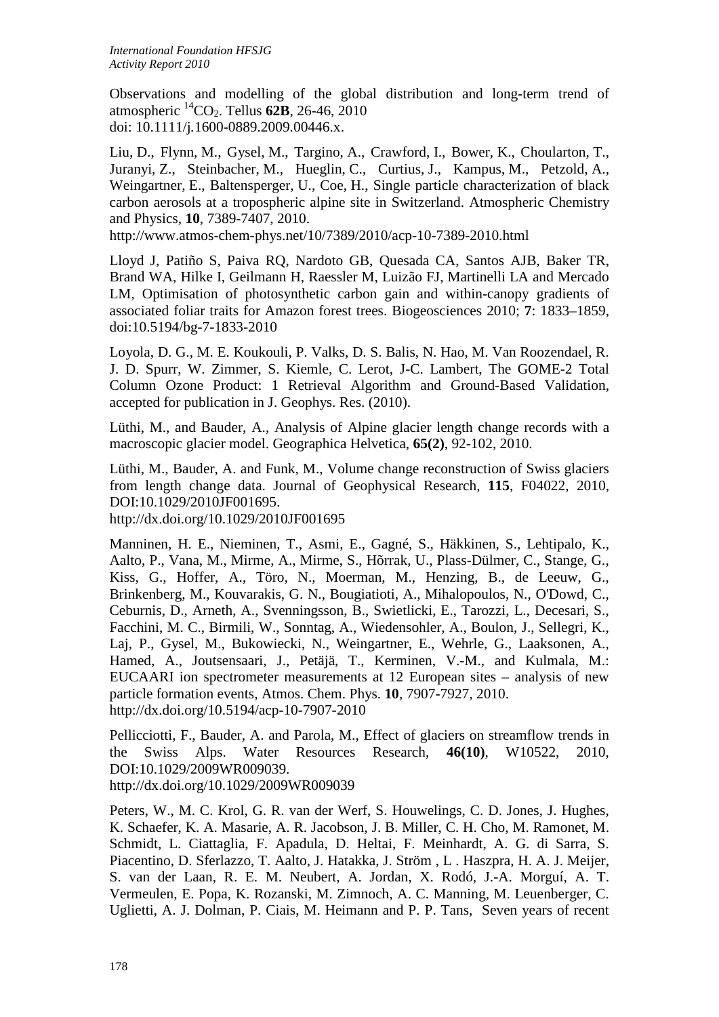Observations and modelling of the global distribution and long-term trend of atmospheric 14CO2. Tellus **62B**, 26-46, 2010 doi: 10.1111/j*.*1600-0889.2009.00446.x.

Liu, D., Flynn, M., Gysel, M., Targino, A., Crawford, I., Bower, K., Choularton, T., Juranyi, Z., Steinbacher, M., Hueglin, C., Curtius, J., Kampus, M., Petzold, A., Weingartner, E., Baltensperger, U., Coe, H., Single particle characterization of black carbon aerosols at a tropospheric alpine site in Switzerland. Atmospheric Chemistry and Physics, **10**, 7389-7407, 2010.

http://www.atmos-chem-phys.net/10/7389/2010/acp-10-7389-2010.html

Lloyd J, Patiño S, Paiva RQ, Nardoto GB, Quesada CA, Santos AJB, Baker TR, Brand WA, Hilke I, Geilmann H, Raessler M, Luizão FJ, Martinelli LA and Mercado LM, Optimisation of photosynthetic carbon gain and within-canopy gradients of associated foliar traits for Amazon forest trees. Biogeosciences 2010; **7**: 1833–1859, doi:10.5194/bg-7-1833-2010

Loyola, D. G., M. E. Koukouli, P. Valks, D. S. Balis, N. Hao, M. Van Roozendael, R. J. D. Spurr, W. Zimmer, S. Kiemle, C. Lerot, J-C. Lambert, The GOME-2 Total Column Ozone Product: 1 Retrieval Algorithm and Ground-Based Validation, accepted for publication in J. Geophys. Res. (2010).

Lüthi, M., and Bauder, A., Analysis of Alpine glacier length change records with a macroscopic glacier model. Geographica Helvetica, **65(2)**, 92-102, 2010.

Lüthi, M., Bauder, A. and Funk, M., Volume change reconstruction of Swiss glaciers from length change data. Journal of Geophysical Research, **115**, F04022, 2010, DOI:10.1029/2010JF001695.

http://dx.doi.org/10.1029/2010JF001695

Manninen, H. E., Nieminen, T., Asmi, E., Gagné, S., Häkkinen, S., Lehtipalo, K., Aalto, P., Vana, M., Mirme, A., Mirme, S., Hõrrak, U., Plass-Dülmer, C., Stange, G., Kiss, G., Hoffer, A., Töro, N., Moerman, M., Henzing, B., de Leeuw, G., Brinkenberg, M., Kouvarakis, G. N., Bougiatioti, A., Mihalopoulos, N., O'Dowd, C., Ceburnis, D., Arneth, A., Svenningsson, B., Swietlicki, E., Tarozzi, L., Decesari, S., Facchini, M. C., Birmili, W., Sonntag, A., Wiedensohler, A., Boulon, J., Sellegri, K., Laj, P., Gysel, M., Bukowiecki, N., Weingartner, E., Wehrle, G., Laaksonen, A., Hamed, A., Joutsensaari, J., Petäjä, T., Kerminen, V.-M., and Kulmala, M.: EUCAARI ion spectrometer measurements at 12 European sites – analysis of new particle formation events, Atmos. Chem. Phys. **10**, 7907-7927, 2010. http://dx.doi.org/10.5194/acp-10-7907-2010

Pellicciotti, F., Bauder, A. and Parola, M., Effect of glaciers on streamflow trends in the Swiss Alps. Water Resources Research, **46(10)**, W10522, 2010, DOI:10.1029/2009WR009039.

http://dx.doi.org/10.1029/2009WR009039

Peters, W., M. C. Krol, G. R. van der Werf, S. Houwelings, C. D. Jones, J. Hughes, K. Schaefer, K. A. Masarie, A. R. Jacobson, J. B. Miller, C. H. Cho, M. Ramonet, M. Schmidt, L. Ciattaglia, F. Apadula, D. Heltai, F. Meinhardt, A. G. di Sarra, S. Piacentino, D. Sferlazzo, T. Aalto, J. Hatakka, J. Ström , L . Haszpra, H. A. J. Meijer, S. van der Laan, R. E. M. Neubert, A. Jordan, X. Rodó, J.-A. Morguí, A. T. Vermeulen, E. Popa, K. Rozanski, M. Zimnoch, A. C. Manning, M. Leuenberger, C. Uglietti, A. J. Dolman, P. Ciais, M. Heimann and P. P. Tans, Seven years of recent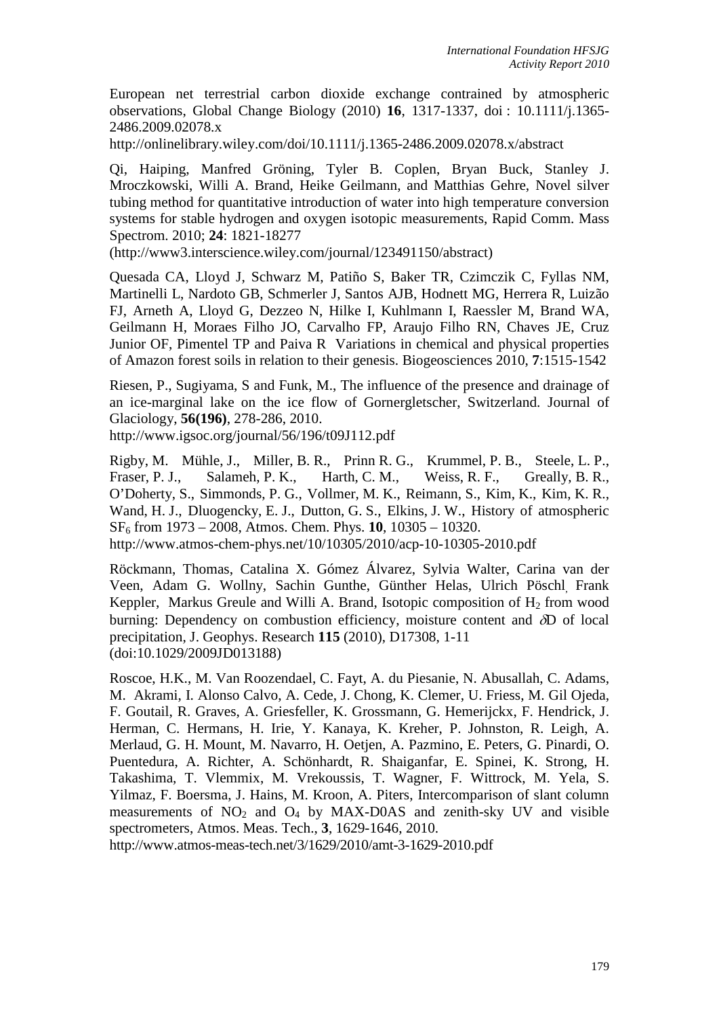European net terrestrial carbon dioxide exchange contrained by atmospheric observations, Global Change Biology (2010) **16**, 1317-1337, doi : 10.1111/j.1365- 2486.2009.02078.x

http://onlinelibrary.wiley.com/doi/10.1111/j.1365-2486.2009.02078.x/abstract

Qi, Haiping, Manfred Gröning, Tyler B. Coplen, Bryan Buck, Stanley J. Mroczkowski, Willi A. Brand, Heike Geilmann, and Matthias Gehre, Novel silver tubing method for quantitative introduction of water into high temperature conversion systems for stable hydrogen and oxygen isotopic measurements, Rapid Comm. Mass Spectrom. 2010; **24**: 1821-18277

(http://www3.interscience.wiley.com/journal/123491150/abstract)

Quesada CA, Lloyd J, Schwarz M, Patiño S, Baker TR, Czimczik C, Fyllas NM, Martinelli L, Nardoto GB, Schmerler J, Santos AJB, Hodnett MG, Herrera R, Luizão FJ, Arneth A, Lloyd G, Dezzeo N, Hilke I, Kuhlmann I, Raessler M, Brand WA, Geilmann H, Moraes Filho JO, Carvalho FP, Araujo Filho RN, Chaves JE, Cruz Junior OF, Pimentel TP and Paiva R Variations in chemical and physical properties of Amazon forest soils in relation to their genesis. Biogeosciences 2010, **7**:1515-1542

Riesen, P., Sugiyama, S and Funk, M., The influence of the presence and drainage of an ice-marginal lake on the ice flow of Gornergletscher, Switzerland. Journal of Glaciology, **56(196)**, 278-286, 2010.

http://www.igsoc.org/journal/56/196/t09J112.pdf

Rigby, M. Mühle, J., Miller, B. R., Prinn R. G., Krummel, P. B., Steele, L. P., Fraser, P. J., Salameh, P. K., Harth, C. M., Weiss, R. F., Greally, B. R., O'Doherty, S., Simmonds, P. G., Vollmer, M. K., Reimann, S., Kim, K., Kim, K. R., Wand, H. J., Dluogencky, E. J., Dutton, G. S., Elkins, J. W., History of atmospheric SF6 from 1973 – 2008, Atmos. Chem. Phys. **10**, 10305 – 10320. http://www.atmos-chem-phys.net/10/10305/2010/acp-10-10305-2010.pdf

Röckmann, Thomas, Catalina X. Gómez Álvarez, Sylvia Walter, Carina van der Veen, Adam G. Wollny, Sachin Gunthe, Günther Helas, Ulrich Pöschl, Frank Keppler, Markus Greule and Willi A. Brand, Isotopic composition of  $H_2$  from wood burning: Dependency on combustion efficiency, moisture content and δD of local precipitation, J. Geophys. Research **115** (2010), D17308, 1-11 (doi:10.1029/2009JD013188)

Roscoe, H.K., M. Van Roozendael, C. Fayt, A. du Piesanie, N. Abusallah, C. Adams, M. Akrami, I. Alonso Calvo, A. Cede, J. Chong, K. Clemer, U. Friess, M. Gil Ojeda, F. Goutail, R. Graves, A. Griesfeller, K. Grossmann, G. Hemerijckx, F. Hendrick, J. Herman, C. Hermans, H. Irie, Y. Kanaya, K. Kreher, P. Johnston, R. Leigh, A. Merlaud, G. H. Mount, M. Navarro, H. Oetjen, A. Pazmino, E. Peters, G. Pinardi, O. Puentedura, A. Richter, A. Schönhardt, R. Shaiganfar, E. Spinei, K. Strong, H. Takashima, T. Vlemmix, M. Vrekoussis, T. Wagner, F. Wittrock, M. Yela, S. Yilmaz, F. Boersma, J. Hains, M. Kroon, A. Piters, Intercomparison of slant column measurements of  $NO<sub>2</sub>$  and  $O<sub>4</sub>$  by MAX-D0AS and zenith-sky UV and visible spectrometers, Atmos. Meas. Tech., **3**, 1629-1646, 2010.

http://www.atmos-meas-tech.net/3/1629/2010/amt-3-1629-2010.pdf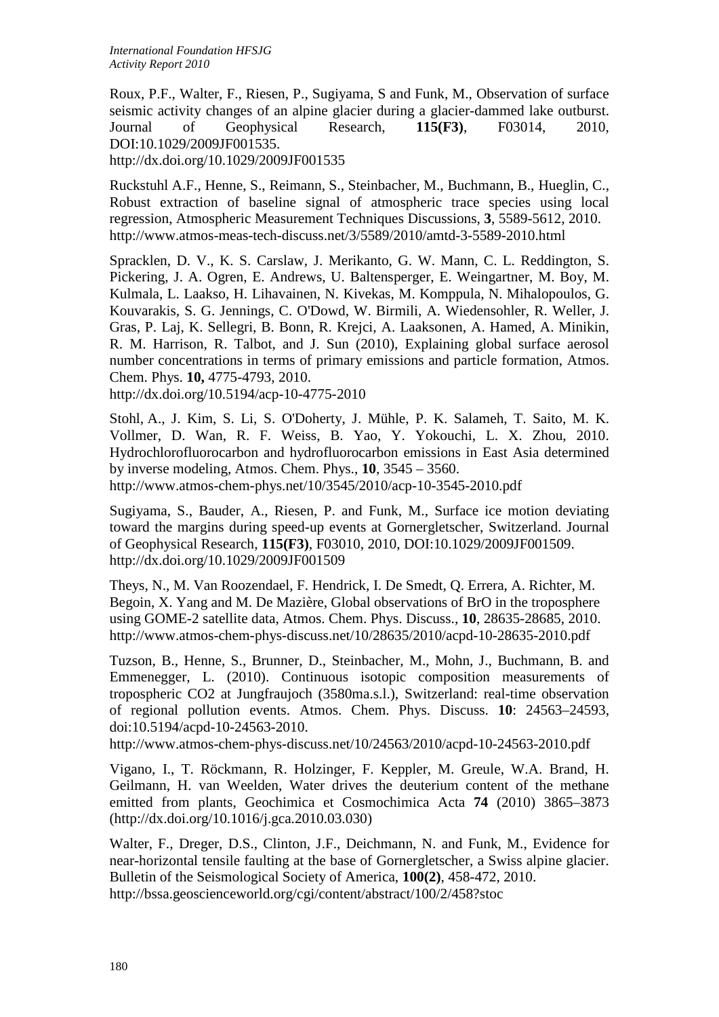Roux, P.F., Walter, F., Riesen, P., Sugiyama, S and Funk, M., Observation of surface seismic activity changes of an alpine glacier during a glacier-dammed lake outburst. Journal of Geophysical Research, **115(F3)**, F03014, 2010, DOI:10.1029/2009JF001535.

http://dx.doi.org/10.1029/2009JF001535

Ruckstuhl A.F., Henne, S., Reimann, S., Steinbacher, M., Buchmann, B., Hueglin, C., Robust extraction of baseline signal of atmospheric trace species using local regression, Atmospheric Measurement Techniques Discussions, **3**, 5589-5612, 2010. http://www.atmos-meas-tech-discuss.net/3/5589/2010/amtd-3-5589-2010.html

Spracklen, D. V., K. S. Carslaw, J. Merikanto, G. W. Mann, C. L. Reddington, S. Pickering, J. A. Ogren, E. Andrews, U. Baltensperger, E. Weingartner, M. Boy, M. Kulmala, L. Laakso, H. Lihavainen, N. Kivekas, M. Komppula, N. Mihalopoulos, G. Kouvarakis, S. G. Jennings, C. O'Dowd, W. Birmili, A. Wiedensohler, R. Weller, J. Gras, P. Laj, K. Sellegri, B. Bonn, R. Krejci, A. Laaksonen, A. Hamed, A. Minikin, R. M. Harrison, R. Talbot, and J. Sun (2010), Explaining global surface aerosol number concentrations in terms of primary emissions and particle formation, Atmos. Chem. Phys. **10,** 4775-4793, 2010.

http://dx.doi.org/10.5194/acp-10-4775-2010

Stohl, A., J. Kim, S. Li, S. O'Doherty, J. Mühle, P. K. Salameh, T. Saito, M. K. Vollmer, D. Wan, R. F. Weiss, B. Yao, Y. Yokouchi, L. X. Zhou, 2010. Hydrochlorofluorocarbon and hydrofluorocarbon emissions in East Asia determined by inverse modeling, Atmos. Chem. Phys., **10**, 3545 – 3560. http://www.atmos-chem-phys.net/10/3545/2010/acp-10-3545-2010.pdf

Sugiyama, S., Bauder, A., Riesen, P. and Funk, M., Surface ice motion deviating toward the margins during speed-up events at Gornergletscher, Switzerland. Journal of Geophysical Research, **115(F3)**, F03010, 2010, DOI:10.1029/2009JF001509. http://dx.doi.org/10.1029/2009JF001509

Theys, N., M. Van Roozendael, F. Hendrick, I. De Smedt, Q. Errera, A. Richter, M. Begoin, X. Yang and M. De Mazière, Global observations of BrO in the troposphere using GOME-2 satellite data, Atmos. Chem. Phys. Discuss., **10**, 28635-28685, 2010. http://www.atmos-chem-phys-discuss.net/10/28635/2010/acpd-10-28635-2010.pdf

Tuzson, B., Henne, S., Brunner, D., Steinbacher, M., Mohn, J., Buchmann, B. and Emmenegger, L. (2010). Continuous isotopic composition measurements of tropospheric CO2 at Jungfraujoch (3580ma.s.l.), Switzerland: real-time observation of regional pollution events. Atmos. Chem. Phys. Discuss. **10**: 24563–24593, doi:10.5194/acpd-10-24563-2010.

http://www.atmos-chem-phys-discuss.net/10/24563/2010/acpd-10-24563-2010.pdf

Vigano, I., T. Röckmann, R. Holzinger, F. Keppler, M. Greule, W.A. Brand, H. Geilmann, H. van Weelden, Water drives the deuterium content of the methane emitted from plants, Geochimica et Cosmochimica Acta **74** (2010) 3865–3873 (http://dx.doi.org/10.1016/j.gca.2010.03.030)

Walter, F., Dreger, D.S., Clinton, J.F., Deichmann, N. and Funk, M., Evidence for near-horizontal tensile faulting at the base of Gornergletscher, a Swiss alpine glacier. Bulletin of the Seismological Society of America, **100(2)**, 458-472, 2010. http://bssa.geoscienceworld.org/cgi/content/abstract/100/2/458?stoc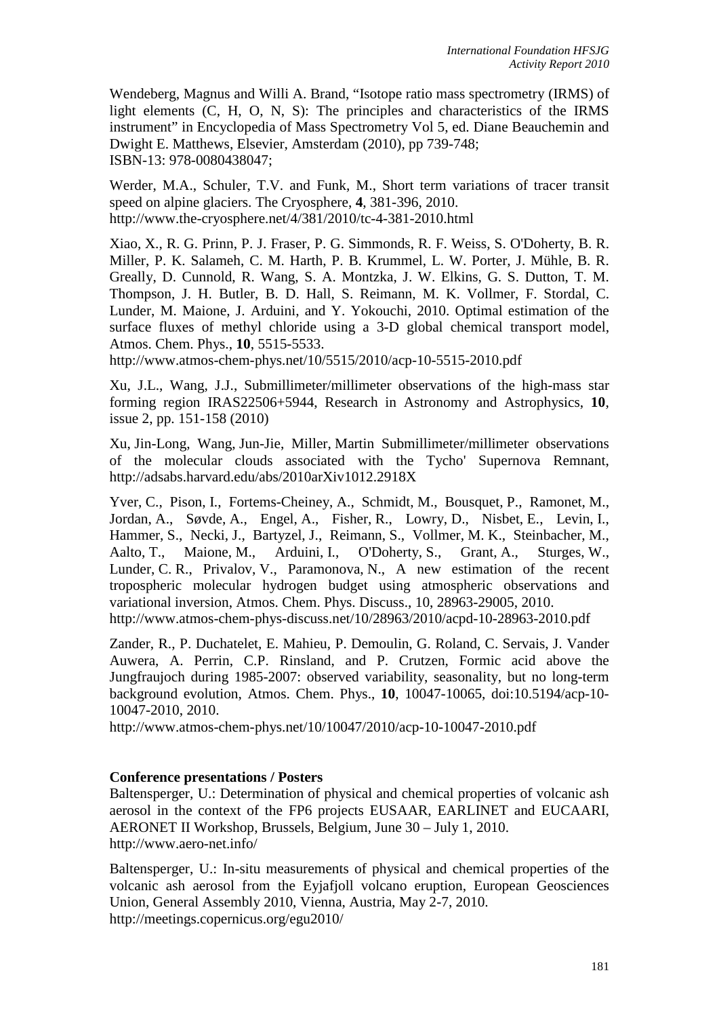Wendeberg, Magnus and Willi A. Brand, "Isotope ratio mass spectrometry (IRMS) of light elements (C, H, O, N, S): The principles and characteristics of the IRMS instrument" in Encyclopedia of Mass Spectrometry Vol 5, ed. Diane Beauchemin and Dwight E. Matthews, Elsevier, Amsterdam (2010), pp 739-748; ISBN-13: 978-0080438047;

Werder, M.A., Schuler, T.V. and Funk, M., Short term variations of tracer transit speed on alpine glaciers. The Cryosphere, **4**, 381-396, 2010. http://www.the-cryosphere.net/4/381/2010/tc-4-381-2010.html

Xiao, X., R. G. Prinn, P. J. Fraser, P. G. Simmonds, R. F. Weiss, S. O'Doherty, B. R. Miller, P. K. Salameh, C. M. Harth, P. B. Krummel, L. W. Porter, J. Mühle, B. R. Greally, D. Cunnold, R. Wang, S. A. Montzka, J. W. Elkins, G. S. Dutton, T. M. Thompson, J. H. Butler, B. D. Hall, S. Reimann, M. K. Vollmer, F. Stordal, C. Lunder, M. Maione, J. Arduini, and Y. Yokouchi, 2010. Optimal estimation of the surface fluxes of methyl chloride using a 3-D global chemical transport model, Atmos. Chem. Phys., **10**, 5515-5533.

http://www.atmos-chem-phys.net/10/5515/2010/acp-10-5515-2010.pdf

Xu, J.L., Wang, J.J., Submillimeter/millimeter observations of the high-mass star forming region IRAS22506+5944, Research in Astronomy and Astrophysics, **10**, issue 2, pp. 151-158 (2010)

Xu, Jin-Long, Wang, Jun-Jie, Miller, Martin Submillimeter/millimeter observations of the molecular clouds associated with the Tycho' Supernova Remnant, http://adsabs.harvard.edu/abs/2010arXiv1012.2918X

Yver, C., Pison, I., Fortems-Cheiney, A., Schmidt, M., Bousquet, P., Ramonet, M., Jordan, A., Søvde, A., Engel, A., Fisher, R., Lowry, D., Nisbet, E., Levin, I., Hammer, S., Necki, J., Bartyzel, J., Reimann, S., Vollmer, M. K., Steinbacher, M., Aalto, T., Maione, M., Arduini, I., O'Doherty, S., Grant, A., Sturges, W., Lunder, C. R., Privalov, V., Paramonova, N., A new estimation of the recent tropospheric molecular hydrogen budget using atmospheric observations and variational inversion, Atmos. Chem. Phys. Discuss., 10, 28963-29005, 2010. http://www.atmos-chem-phys-discuss.net/10/28963/2010/acpd-10-28963-2010.pdf

Zander, R., P. Duchatelet, E. Mahieu, P. Demoulin, G. Roland, C. Servais, J. Vander Auwera, A. Perrin, C.P. Rinsland, and P. Crutzen, Formic acid above the Jungfraujoch during 1985-2007: observed variability, seasonality, but no long-term background evolution, Atmos. Chem. Phys., **10**, 10047-10065, doi:10.5194/acp-10- 10047-2010, 2010.

http://www.atmos-chem-phys.net/10/10047/2010/acp-10-10047-2010.pdf

## **Conference presentations / Posters**

Baltensperger, U.: Determination of physical and chemical properties of volcanic ash aerosol in the context of the FP6 projects EUSAAR, EARLINET and EUCAARI, AERONET II Workshop, Brussels, Belgium, June 30 – July 1, 2010. http://www.aero-net.info/

Baltensperger, U.: In-situ measurements of physical and chemical properties of the volcanic ash aerosol from the Eyjafjoll volcano eruption, European Geosciences Union, General Assembly 2010, Vienna, Austria, May 2-7, 2010. http://meetings.copernicus.org/egu2010/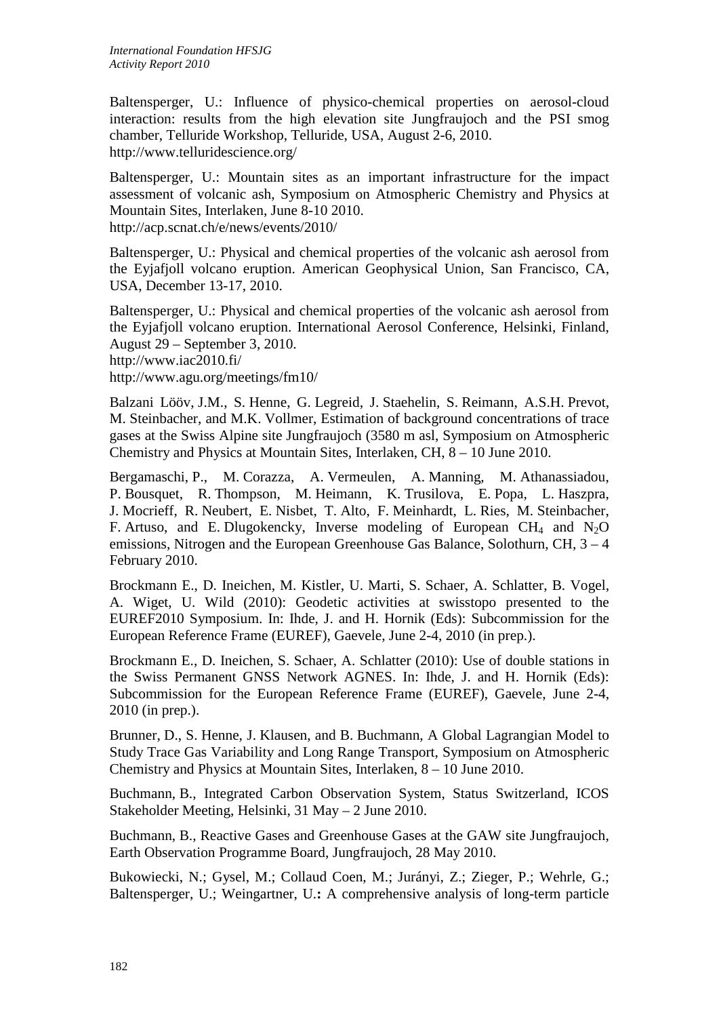Baltensperger, U.: Influence of physico-chemical properties on aerosol-cloud interaction: results from the high elevation site Jungfraujoch and the PSI smog chamber, Telluride Workshop, Telluride, USA, August 2-6, 2010. http://www.telluridescience.org/

Baltensperger, U.: Mountain sites as an important infrastructure for the impact assessment of volcanic ash, Symposium on Atmospheric Chemistry and Physics at Mountain Sites, Interlaken, June 8-10 2010. http://acp.scnat.ch/e/news/events/2010/

Baltensperger, U.: Physical and chemical properties of the volcanic ash aerosol from the Eyjafjoll volcano eruption. American Geophysical Union, San Francisco, CA, USA, December 13-17, 2010.

Baltensperger, U.: Physical and chemical properties of the volcanic ash aerosol from the Eyjafjoll volcano eruption. International Aerosol Conference, Helsinki, Finland, August 29 – September 3, 2010. http://www.iac2010.fi/

http://www.agu.org/meetings/fm10/

Balzani Lööv, J.M., S. Henne, G. Legreid, J. Staehelin, S. Reimann, A.S.H. Prevot, M. Steinbacher, and M.K. Vollmer, Estimation of background concentrations of trace gases at the Swiss Alpine site Jungfraujoch (3580 m asl, Symposium on Atmospheric Chemistry and Physics at Mountain Sites, Interlaken, CH, 8 – 10 June 2010.

Bergamaschi, P., M. Corazza, A. Vermeulen, A. Manning, M. Athanassiadou, P. Bousquet, R. Thompson, M. Heimann, K. Trusilova, E. Popa, L. Haszpra, J. Mocrieff, R. Neubert, E. Nisbet, T. Alto, F. Meinhardt, L. Ries, M. Steinbacher, F. Artuso, and E. Dlugokencky, Inverse modeling of European CH<sub>4</sub> and N<sub>2</sub>O emissions, Nitrogen and the European Greenhouse Gas Balance, Solothurn, CH, 3 – 4 February 2010.

Brockmann E., D. Ineichen, M. Kistler, U. Marti, S. Schaer, A. Schlatter, B. Vogel, A. Wiget, U. Wild (2010): Geodetic activities at swisstopo presented to the EUREF2010 Symposium. In: Ihde, J. and H. Hornik (Eds): Subcommission for the European Reference Frame (EUREF), Gaevele, June 2-4, 2010 (in prep.).

Brockmann E., D. Ineichen, S. Schaer, A. Schlatter (2010): Use of double stations in the Swiss Permanent GNSS Network AGNES. In: Ihde, J. and H. Hornik (Eds): Subcommission for the European Reference Frame (EUREF), Gaevele, June 2-4, 2010 (in prep.).

Brunner, D., S. Henne, J. Klausen, and B. Buchmann, A Global Lagrangian Model to Study Trace Gas Variability and Long Range Transport, Symposium on Atmospheric Chemistry and Physics at Mountain Sites, Interlaken, 8 – 10 June 2010.

Buchmann, B., Integrated Carbon Observation System, Status Switzerland, ICOS Stakeholder Meeting, Helsinki, 31 May – 2 June 2010.

Buchmann, B., Reactive Gases and Greenhouse Gases at the GAW site Jungfraujoch, Earth Observation Programme Board, Jungfraujoch, 28 May 2010.

Bukowiecki, N.; Gysel, M.; Collaud Coen, M.; Jurányi, Z.; Zieger, P.; Wehrle, G.; Baltensperger, U.; Weingartner, U.**:** A comprehensive analysis of long-term particle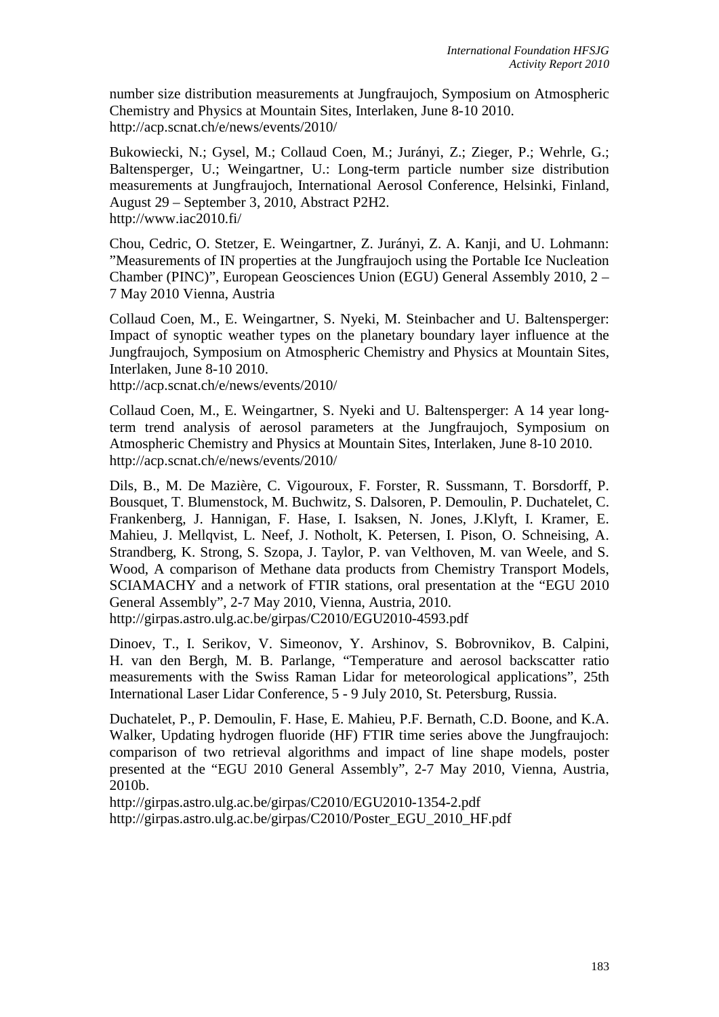number size distribution measurements at Jungfraujoch, Symposium on Atmospheric Chemistry and Physics at Mountain Sites, Interlaken, June 8-10 2010. http://acp.scnat.ch/e/news/events/2010/

Bukowiecki, N.; Gysel, M.; Collaud Coen, M.; Jurányi, Z.; Zieger, P.; Wehrle, G.; Baltensperger, U.; Weingartner, U.: Long-term particle number size distribution measurements at Jungfraujoch, International Aerosol Conference, Helsinki, Finland, August 29 – September 3, 2010, Abstract P2H2. http://www.iac2010.fi/

Chou, Cedric, O. Stetzer, E. Weingartner, Z. Jurányi, Z. A. Kanji, and U. Lohmann: "Measurements of IN properties at the Jungfraujoch using the Portable Ice Nucleation Chamber (PINC)", European Geosciences Union (EGU) General Assembly 2010, 2 – 7 May 2010 Vienna, Austria

Collaud Coen, M., E. Weingartner, S. Nyeki, M. Steinbacher and U. Baltensperger: Impact of synoptic weather types on the planetary boundary layer influence at the Jungfraujoch, Symposium on Atmospheric Chemistry and Physics at Mountain Sites, Interlaken, June 8-10 2010.

http://acp.scnat.ch/e/news/events/2010/

Collaud Coen, M., E. Weingartner, S. Nyeki and U. Baltensperger: A 14 year longterm trend analysis of aerosol parameters at the Jungfraujoch, Symposium on Atmospheric Chemistry and Physics at Mountain Sites, Interlaken, June 8-10 2010. http://acp.scnat.ch/e/news/events/2010/

Dils, B., M. De Mazière, C. Vigouroux, F. Forster, R. Sussmann, T. Borsdorff, P. Bousquet, T. Blumenstock, M. Buchwitz, S. Dalsoren, P. Demoulin, P. Duchatelet, C. Frankenberg, J. Hannigan, F. Hase, I. Isaksen, N. Jones, J.Klyft, I. Kramer, E. Mahieu, J. Mellqvist, L. Neef, J. Notholt, K. Petersen, I. Pison, O. Schneising, A. Strandberg, K. Strong, S. Szopa, J. Taylor, P. van Velthoven, M. van Weele, and S. Wood, A comparison of Methane data products from Chemistry Transport Models, SCIAMACHY and a network of FTIR stations, oral presentation at the "EGU 2010 General Assembly", 2-7 May 2010, Vienna, Austria, 2010. http://girpas.astro.ulg.ac.be/girpas/C2010/EGU2010-4593.pdf

Dinoev, T., I. Serikov, V. Simeonov, Y. Arshinov, S. Bobrovnikov, B. Calpini, H. van den Bergh, M. B. Parlange, "Temperature and aerosol backscatter ratio measurements with the Swiss Raman Lidar for meteorological applications", 25th International Laser Lidar Conference, 5 - 9 July 2010, St. Petersburg, Russia.

Duchatelet, P., P. Demoulin, F. Hase, E. Mahieu, P.F. Bernath, C.D. Boone, and K.A. Walker, Updating hydrogen fluoride (HF) FTIR time series above the Jungfraujoch: comparison of two retrieval algorithms and impact of line shape models, poster presented at the "EGU 2010 General Assembly", 2-7 May 2010, Vienna, Austria, 2010b.

http://girpas.astro.ulg.ac.be/girpas/C2010/EGU2010-1354-2.pdf http://girpas.astro.ulg.ac.be/girpas/C2010/Poster\_EGU\_2010\_HF.pdf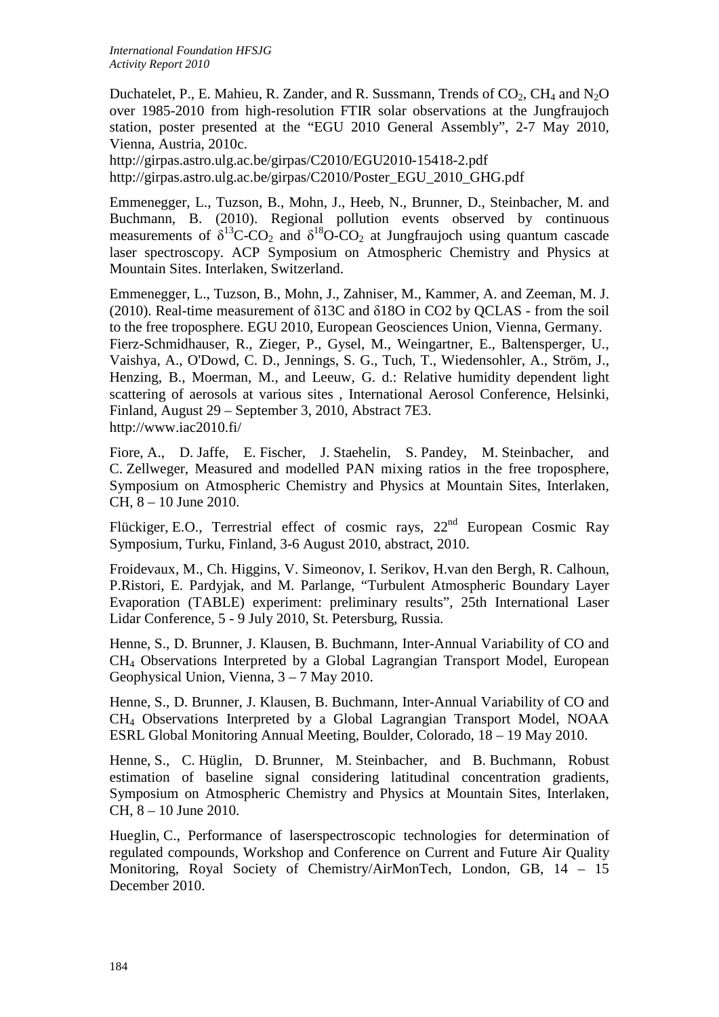Duchatelet, P., E. Mahieu, R. Zander, and R. Sussmann, Trends of  $CO_2$ ,  $CH_4$  and  $N_2O$ over 1985-2010 from high-resolution FTIR solar observations at the Jungfraujoch station, poster presented at the "EGU 2010 General Assembly", 2-7 May 2010, Vienna, Austria, 2010c.

http://girpas.astro.ulg.ac.be/girpas/C2010/EGU2010-15418-2.pdf http://girpas.astro.ulg.ac.be/girpas/C2010/Poster\_EGU\_2010\_GHG.pdf

Emmenegger, L., Tuzson, B., Mohn, J., Heeb, N., Brunner, D., Steinbacher, M. and Buchmann, B. (2010). Regional pollution events observed by continuous measurements of  $\delta^{13}C$ -CO<sub>2</sub> and  $\delta^{18}O$ -CO<sub>2</sub> at Jungfraujoch using quantum cascade laser spectroscopy. ACP Symposium on Atmospheric Chemistry and Physics at Mountain Sites. Interlaken, Switzerland.

Emmenegger, L., Tuzson, B., Mohn, J., Zahniser, M., Kammer, A. and Zeeman, M. J. (2010). Real-time measurement of δ13C and δ18O in CO2 by QCLAS - from the soil to the free troposphere. EGU 2010, European Geosciences Union, Vienna, Germany. Fierz-Schmidhauser, R., Zieger, P., Gysel, M., Weingartner, E., Baltensperger, U., Vaishya, A., O'Dowd, C. D., Jennings, S. G., Tuch, T., Wiedensohler, A., Ström, J., Henzing, B., Moerman, M., and Leeuw, G. d.: Relative humidity dependent light scattering of aerosols at various sites , International Aerosol Conference, Helsinki, Finland, August 29 – September 3, 2010, Abstract 7E3. http://www.iac2010.fi/

Fiore, A., D. Jaffe, E. Fischer, J. Staehelin, S. Pandey, M. Steinbacher, and C. Zellweger, Measured and modelled PAN mixing ratios in the free troposphere, Symposium on Atmospheric Chemistry and Physics at Mountain Sites, Interlaken, CH, 8 – 10 June 2010.

Flückiger, E.O., Terrestrial effect of cosmic rays, 22<sup>nd</sup> European Cosmic Ray Symposium, Turku, Finland, 3-6 August 2010, abstract, 2010.

Froidevaux, M., Ch. Higgins, V. Simeonov, I. Serikov, H.van den Bergh, R. Calhoun, P.Ristori, E. Pardyjak, and M. Parlange, "Turbulent Atmospheric Boundary Layer Evaporation (TABLE) experiment: preliminary results", 25th International Laser Lidar Conference, 5 - 9 July 2010, St. Petersburg, Russia.

Henne, S., D. Brunner, J. Klausen, B. Buchmann, Inter-Annual Variability of CO and CH4 Observations Interpreted by a Global Lagrangian Transport Model, European Geophysical Union, Vienna, 3 – 7 May 2010.

Henne, S., D. Brunner, J. Klausen, B. Buchmann, Inter-Annual Variability of CO and CH4 Observations Interpreted by a Global Lagrangian Transport Model, NOAA ESRL Global Monitoring Annual Meeting, Boulder, Colorado, 18 – 19 May 2010.

Henne, S., C. Hüglin, D. Brunner, M. Steinbacher, and B. Buchmann, Robust estimation of baseline signal considering latitudinal concentration gradients, Symposium on Atmospheric Chemistry and Physics at Mountain Sites, Interlaken, CH, 8 – 10 June 2010.

Hueglin, C., Performance of laserspectroscopic technologies for determination of regulated compounds, Workshop and Conference on Current and Future Air Quality Monitoring, Royal Society of Chemistry/AirMonTech, London, GB, 14 – 15 December 2010.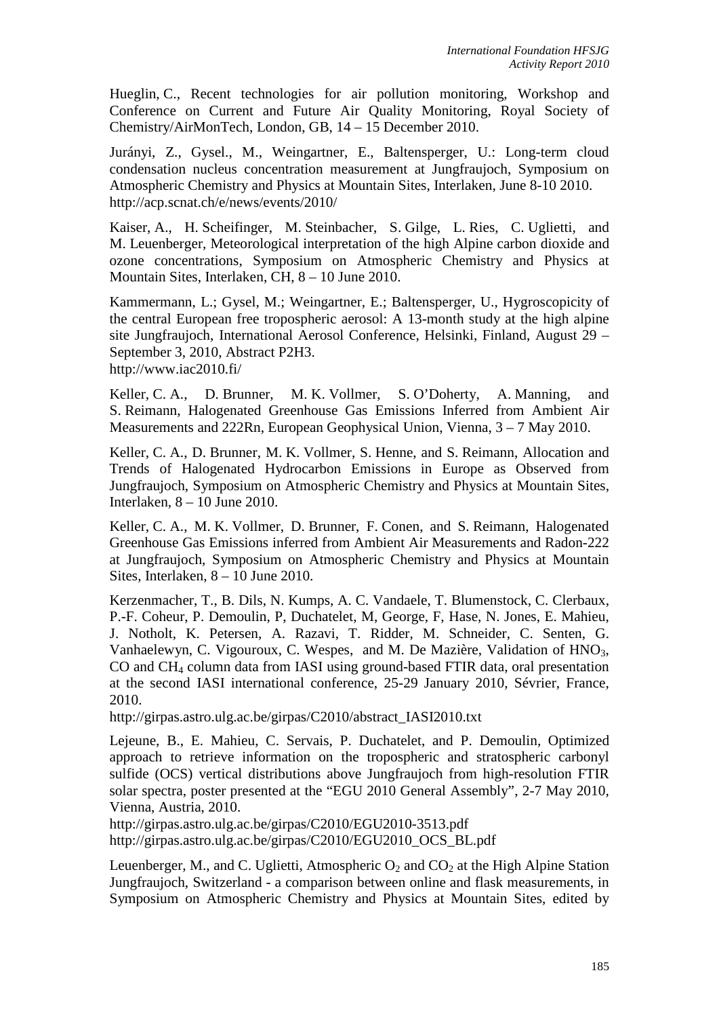Hueglin, C., Recent technologies for air pollution monitoring, Workshop and Conference on Current and Future Air Quality Monitoring, Royal Society of Chemistry/AirMonTech, London, GB, 14 – 15 December 2010.

Jurányi, Z., Gysel., M., Weingartner, E., Baltensperger, U.: Long-term cloud condensation nucleus concentration measurement at Jungfraujoch, Symposium on Atmospheric Chemistry and Physics at Mountain Sites, Interlaken, June 8-10 2010. http://acp.scnat.ch/e/news/events/2010/

Kaiser, A., H. Scheifinger, M. Steinbacher, S. Gilge, L. Ries, C. Uglietti, and M. Leuenberger, Meteorological interpretation of the high Alpine carbon dioxide and ozone concentrations, Symposium on Atmospheric Chemistry and Physics at Mountain Sites, Interlaken, CH, 8 – 10 June 2010.

Kammermann, L.; Gysel, M.; Weingartner, E.; Baltensperger, U., Hygroscopicity of the central European free tropospheric aerosol: A 13-month study at the high alpine site Jungfraujoch, International Aerosol Conference, Helsinki, Finland, August 29 – September 3, 2010, Abstract P2H3. http://www.iac2010.fi/

Keller, C. A., D. Brunner, M. K. Vollmer, S. O'Doherty, A. Manning, and S. Reimann, Halogenated Greenhouse Gas Emissions Inferred from Ambient Air Measurements and 222Rn, European Geophysical Union, Vienna, 3 – 7 May 2010.

Keller, C. A., D. Brunner, M. K. Vollmer, S. Henne, and S. Reimann, Allocation and Trends of Halogenated Hydrocarbon Emissions in Europe as Observed from Jungfraujoch, Symposium on Atmospheric Chemistry and Physics at Mountain Sites, Interlaken, 8 – 10 June 2010.

Keller, C. A., M. K. Vollmer, D. Brunner, F. Conen, and S. Reimann, Halogenated Greenhouse Gas Emissions inferred from Ambient Air Measurements and Radon-222 at Jungfraujoch, Symposium on Atmospheric Chemistry and Physics at Mountain Sites, Interlaken, 8 – 10 June 2010.

Kerzenmacher, T., B. Dils, N. Kumps, A. C. Vandaele, T. Blumenstock, C. Clerbaux, P.-F. Coheur, P. Demoulin, P, Duchatelet, M, George, F, Hase, N. Jones, E. Mahieu, J. Notholt, K. Petersen, A. Razavi, T. Ridder, M. Schneider, C. Senten, G. Vanhaelewyn, C. Vigouroux, C. Wespes, and M. De Mazière, Validation of HNO<sub>3</sub>, CO and CH4 column data from IASI using ground-based FTIR data, oral presentation at the second IASI international conference, 25-29 January 2010, Sévrier, France, 2010.

http://girpas.astro.ulg.ac.be/girpas/C2010/abstract\_IASI2010.txt

Lejeune, B., E. Mahieu, C. Servais, P. Duchatelet, and P. Demoulin, Optimized approach to retrieve information on the tropospheric and stratospheric carbonyl sulfide (OCS) vertical distributions above Jungfraujoch from high-resolution FTIR solar spectra, poster presented at the "EGU 2010 General Assembly", 2-7 May 2010, Vienna, Austria, 2010.

http://girpas.astro.ulg.ac.be/girpas/C2010/EGU2010-3513.pdf http://girpas.astro.ulg.ac.be/girpas/C2010/EGU2010\_OCS\_BL.pdf

Leuenberger, M., and C. Uglietti, Atmospheric  $O_2$  and  $CO_2$  at the High Alpine Station Jungfraujoch, Switzerland - a comparison between online and flask measurements, in Symposium on Atmospheric Chemistry and Physics at Mountain Sites, edited by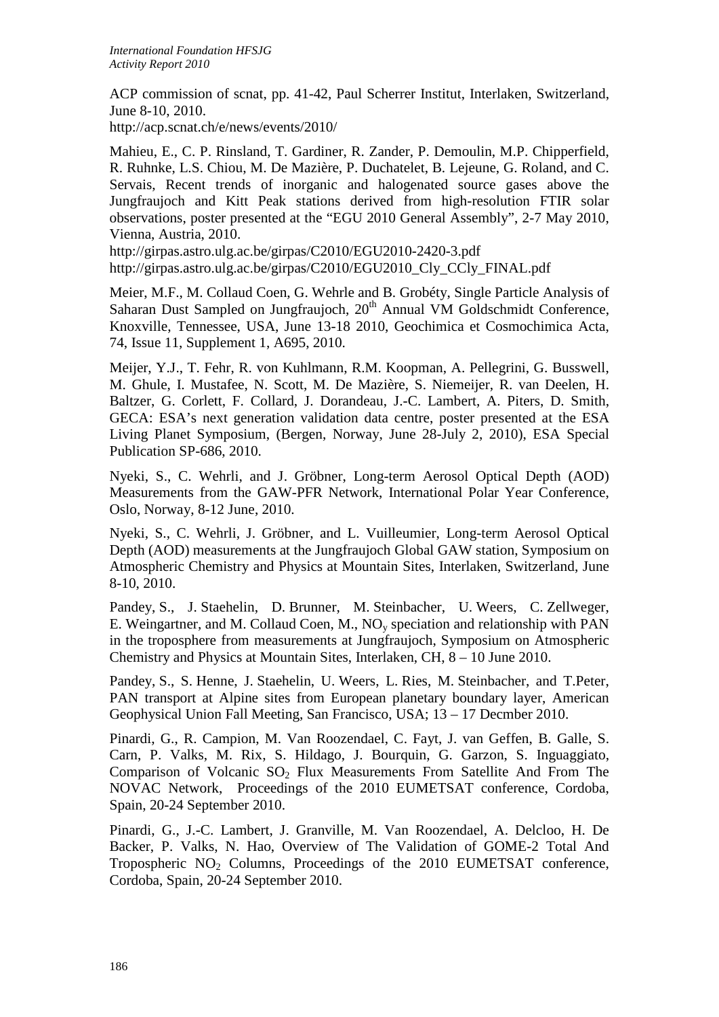ACP commission of scnat, pp. 41-42, Paul Scherrer Institut, Interlaken, Switzerland, June 8-10, 2010.

http://acp.scnat.ch/e/news/events/2010/

Mahieu, E., C. P. Rinsland, T. Gardiner, R. Zander, P. Demoulin, M.P. Chipperfield, R. Ruhnke, L.S. Chiou, M. De Mazière, P. Duchatelet, B. Lejeune, G. Roland, and C. Servais, Recent trends of inorganic and halogenated source gases above the Jungfraujoch and Kitt Peak stations derived from high-resolution FTIR solar observations, poster presented at the "EGU 2010 General Assembly", 2-7 May 2010, Vienna, Austria, 2010.

http://girpas.astro.ulg.ac.be/girpas/C2010/EGU2010-2420-3.pdf http://girpas.astro.ulg.ac.be/girpas/C2010/EGU2010\_Cly\_CCly\_FINAL.pdf

Meier, M.F., M. Collaud Coen, G. Wehrle and B. Grobéty, Single Particle Analysis of Saharan Dust Sampled on Jungfraujoch,  $20<sup>th</sup>$  Annual VM Goldschmidt Conference, Knoxville, Tennessee, USA, June 13-18 2010, Geochimica et Cosmochimica Acta, 74, Issue 11, Supplement 1, A695, 2010.

Meijer, Y.J., T. Fehr, R. von Kuhlmann, R.M. Koopman, A. Pellegrini, G. Busswell, M. Ghule, I. Mustafee, N. Scott, M. De Mazière, S. Niemeijer, R. van Deelen, H. Baltzer, G. Corlett, F. Collard, J. Dorandeau, J.-C. Lambert, A. Piters, D. Smith, GECA: ESA's next generation validation data centre, poster presented at the ESA Living Planet Symposium, (Bergen, Norway, June 28-July 2, 2010), ESA Special Publication SP-686, 2010.

Nyeki, S., C. Wehrli, and J. Gröbner, Long-term Aerosol Optical Depth (AOD) Measurements from the GAW-PFR Network, International Polar Year Conference, Oslo, Norway, 8-12 June, 2010.

Nyeki, S., C. Wehrli, J. Gröbner, and L. Vuilleumier, Long-term Aerosol Optical Depth (AOD) measurements at the Jungfraujoch Global GAW station, Symposium on Atmospheric Chemistry and Physics at Mountain Sites, Interlaken, Switzerland, June 8-10, 2010.

Pandey, S., J. Staehelin, D. Brunner, M. Steinbacher, U. Weers, C. Zellweger, E. Weingartner, and M. Collaud Coen, M.,  $NO<sub>v</sub>$  speciation and relationship with PAN in the troposphere from measurements at Jungfraujoch, Symposium on Atmospheric Chemistry and Physics at Mountain Sites, Interlaken, CH, 8 – 10 June 2010.

Pandey, S., S. Henne, J. Staehelin, U. Weers, L. Ries, M. Steinbacher, and T.Peter, PAN transport at Alpine sites from European planetary boundary layer, American Geophysical Union Fall Meeting, San Francisco, USA; 13 – 17 Decmber 2010.

Pinardi, G., R. Campion, M. Van Roozendael, C. Fayt, J. van Geffen, B. Galle, S. Carn, P. Valks, M. Rix, S. Hildago, J. Bourquin, G. Garzon, S. Inguaggiato, Comparison of Volcanic  $SO_2$  Flux Measurements From Satellite And From The NOVAC Network, Proceedings of the 2010 EUMETSAT conference, Cordoba, Spain, 20-24 September 2010.

Pinardi, G., J.-C. Lambert, J. Granville, M. Van Roozendael, A. Delcloo, H. De Backer, P. Valks, N. Hao, Overview of The Validation of GOME-2 Total And Tropospheric NO2 Columns, Proceedings of the 2010 EUMETSAT conference, Cordoba, Spain, 20-24 September 2010.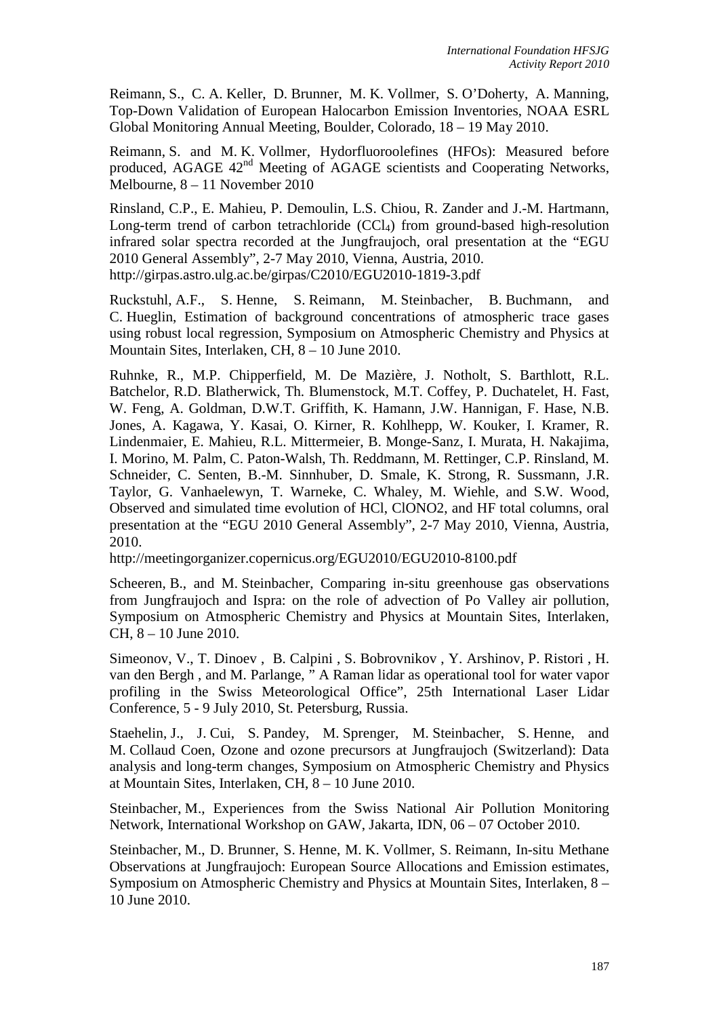Reimann, S., C. A. Keller, D. Brunner, M. K. Vollmer, S. O'Doherty, A. Manning, Top-Down Validation of European Halocarbon Emission Inventories, NOAA ESRL Global Monitoring Annual Meeting, Boulder, Colorado, 18 – 19 May 2010.

Reimann, S. and M. K. Vollmer, Hydorfluoroolefines (HFOs): Measured before produced, AGAGE  $42<sup>nd</sup>$  Meeting of AGAGE scientists and Cooperating Networks, Melbourne, 8 – 11 November 2010

Rinsland, C.P., E. Mahieu, P. Demoulin, L.S. Chiou, R. Zander and J.-M. Hartmann, Long-term trend of carbon tetrachloride  $(CCl<sub>4</sub>)$  from ground-based high-resolution infrared solar spectra recorded at the Jungfraujoch, oral presentation at the "EGU 2010 General Assembly", 2-7 May 2010, Vienna, Austria, 2010. http://girpas.astro.ulg.ac.be/girpas/C2010/EGU2010-1819-3.pdf

Ruckstuhl, A.F., S. Henne, S. Reimann, M. Steinbacher, B. Buchmann, and C. Hueglin, Estimation of background concentrations of atmospheric trace gases using robust local regression, Symposium on Atmospheric Chemistry and Physics at Mountain Sites, Interlaken, CH, 8 – 10 June 2010.

Ruhnke, R., M.P. Chipperfield, M. De Mazière, J. Notholt, S. Barthlott, R.L. Batchelor, R.D. Blatherwick, Th. Blumenstock, M.T. Coffey, P. Duchatelet, H. Fast, W. Feng, A. Goldman, D.W.T. Griffith, K. Hamann, J.W. Hannigan, F. Hase, N.B. Jones, A. Kagawa, Y. Kasai, O. Kirner, R. Kohlhepp, W. Kouker, I. Kramer, R. Lindenmaier, E. Mahieu, R.L. Mittermeier, B. Monge-Sanz, I. Murata, H. Nakajima, I. Morino, M. Palm, C. Paton-Walsh, Th. Reddmann, M. Rettinger, C.P. Rinsland, M. Schneider, C. Senten, B.-M. Sinnhuber, D. Smale, K. Strong, R. Sussmann, J.R. Taylor, G. Vanhaelewyn, T. Warneke, C. Whaley, M. Wiehle, and S.W. Wood, Observed and simulated time evolution of HCl, ClONO2, and HF total columns, oral presentation at the "EGU 2010 General Assembly", 2-7 May 2010, Vienna, Austria, 2010.

http://meetingorganizer.copernicus.org/EGU2010/EGU2010-8100.pdf

Scheeren, B., and M. Steinbacher, Comparing in-situ greenhouse gas observations from Jungfraujoch and Ispra: on the role of advection of Po Valley air pollution, Symposium on Atmospheric Chemistry and Physics at Mountain Sites, Interlaken, CH, 8 – 10 June 2010.

Simeonov, V., T. Dinoev , B. Calpini , S. Bobrovnikov , Y. Arshinov, P. Ristori , H. van den Bergh , and M. Parlange, " A Raman lidar as operational tool for water vapor profiling in the Swiss Meteorological Office", 25th International Laser Lidar Conference, 5 - 9 July 2010, St. Petersburg, Russia.

Staehelin, J., J. Cui, S. Pandey, M. Sprenger, M. Steinbacher, S. Henne, and M. Collaud Coen, Ozone and ozone precursors at Jungfraujoch (Switzerland): Data analysis and long-term changes, Symposium on Atmospheric Chemistry and Physics at Mountain Sites, Interlaken, CH, 8 – 10 June 2010.

Steinbacher, M., Experiences from the Swiss National Air Pollution Monitoring Network, International Workshop on GAW, Jakarta, IDN, 06 – 07 October 2010.

Steinbacher, M., D. Brunner, S. Henne, M. K. Vollmer, S. Reimann, In-situ Methane Observations at Jungfraujoch: European Source Allocations and Emission estimates, Symposium on Atmospheric Chemistry and Physics at Mountain Sites, Interlaken, 8 – 10 June 2010.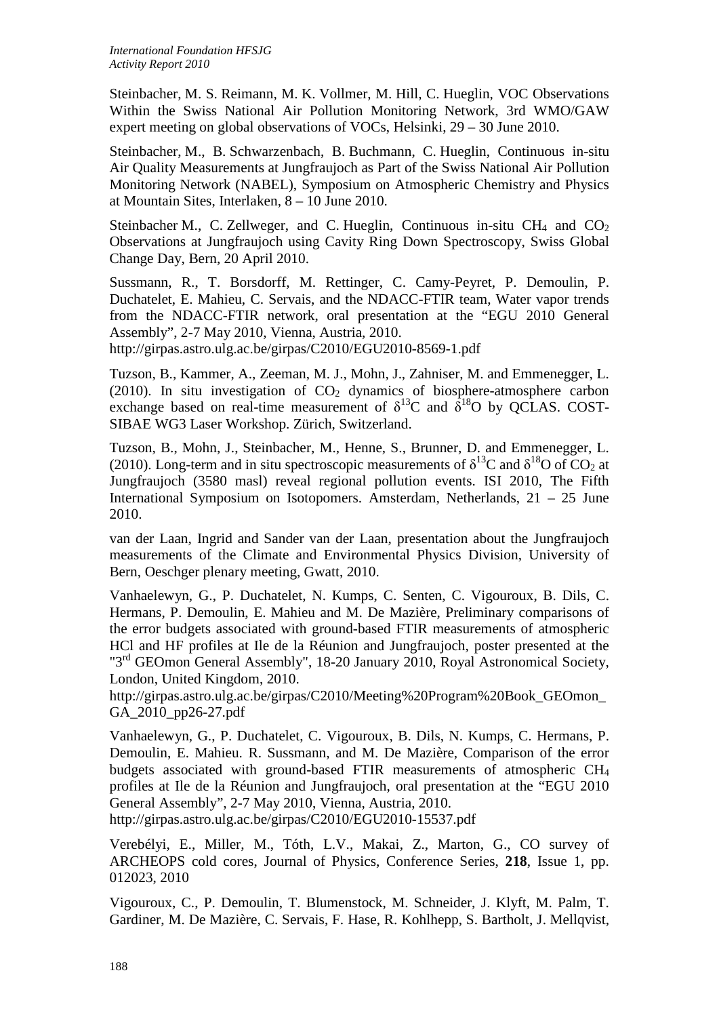Steinbacher, M. S. Reimann, M. K. Vollmer, M. Hill, C. Hueglin, VOC Observations Within the Swiss National Air Pollution Monitoring Network, 3rd WMO/GAW expert meeting on global observations of VOCs, Helsinki, 29 – 30 June 2010.

Steinbacher, M., B. Schwarzenbach, B. Buchmann, C. Hueglin, Continuous in-situ Air Quality Measurements at Jungfraujoch as Part of the Swiss National Air Pollution Monitoring Network (NABEL), Symposium on Atmospheric Chemistry and Physics at Mountain Sites, Interlaken, 8 – 10 June 2010.

Steinbacher M., C. Zellweger, and C. Hueglin, Continuous in-situ  $CH_4$  and  $CO_2$ Observations at Jungfraujoch using Cavity Ring Down Spectroscopy, Swiss Global Change Day, Bern, 20 April 2010.

Sussmann, R., T. Borsdorff, M. Rettinger, C. Camy-Peyret, P. Demoulin, P. Duchatelet, E. Mahieu, C. Servais, and the NDACC-FTIR team, Water vapor trends from the NDACC-FTIR network, oral presentation at the "EGU 2010 General Assembly", 2-7 May 2010, Vienna, Austria, 2010.

http://girpas.astro.ulg.ac.be/girpas/C2010/EGU2010-8569-1.pdf

Tuzson, B., Kammer, A., Zeeman, M. J., Mohn, J., Zahniser, M. and Emmenegger, L. (2010). In situ investigation of  $CO<sub>2</sub>$  dynamics of biosphere-atmosphere carbon exchange based on real-time measurement of  $\delta^{13}$ C and  $\delta^{18}$ O by QCLAS. COST-SIBAE WG3 Laser Workshop. Zürich, Switzerland.

Tuzson, B., Mohn, J., Steinbacher, M., Henne, S., Brunner, D. and Emmenegger, L. (2010). Long-term and in situ spectroscopic measurements of  $\delta^{13}C$  and  $\delta^{18}O$  of CO<sub>2</sub> at Jungfraujoch (3580 masl) reveal regional pollution events. ISI 2010, The Fifth International Symposium on Isotopomers. Amsterdam, Netherlands, 21 – 25 June 2010.

van der Laan, Ingrid and Sander van der Laan, presentation about the Jungfraujoch measurements of the Climate and Environmental Physics Division, University of Bern, Oeschger plenary meeting, Gwatt, 2010.

Vanhaelewyn, G., P. Duchatelet, N. Kumps, C. Senten, C. Vigouroux, B. Dils, C. Hermans, P. Demoulin, E. Mahieu and M. De Mazière, Preliminary comparisons of the error budgets associated with ground-based FTIR measurements of atmospheric HCl and HF profiles at Ile de la Réunion and Jungfraujoch, poster presented at the "3<sup>rd</sup> GEOmon General Assembly", 18-20 January 2010, Royal Astronomical Society, London, United Kingdom, 2010.

http://girpas.astro.ulg.ac.be/girpas/C2010/Meeting%20Program%20Book\_GEOmon\_ GA\_2010\_pp26-27.pdf

Vanhaelewyn, G., P. Duchatelet, C. Vigouroux, B. Dils, N. Kumps, C. Hermans, P. Demoulin, E. Mahieu. R. Sussmann, and M. De Mazière, Comparison of the error budgets associated with ground-based FTIR measurements of atmospheric CH4 profiles at Ile de la Réunion and Jungfraujoch, oral presentation at the "EGU 2010 General Assembly", 2-7 May 2010, Vienna, Austria, 2010.

http://girpas.astro.ulg.ac.be/girpas/C2010/EGU2010-15537.pdf

Verebélyi, E., Miller, M., Tóth, L.V., Makai, Z., Marton, G., CO survey of ARCHEOPS cold cores, Journal of Physics, Conference Series, **218**, Issue 1, pp. 012023, 2010

Vigouroux, C., P. Demoulin, T. Blumenstock, M. Schneider, J. Klyft, M. Palm, T. Gardiner, M. De Mazière, C. Servais, F. Hase, R. Kohlhepp, S. Bartholt, J. Mellqvist,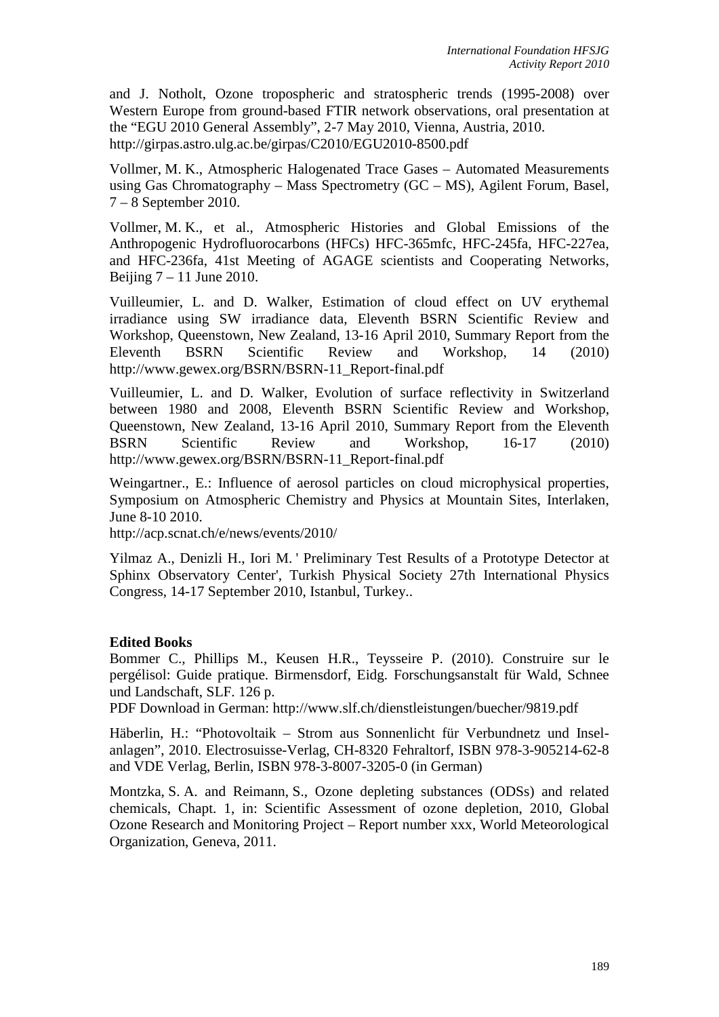and J. Notholt, Ozone tropospheric and stratospheric trends (1995-2008) over Western Europe from ground-based FTIR network observations, oral presentation at the "EGU 2010 General Assembly", 2-7 May 2010, Vienna, Austria, 2010. http://girpas.astro.ulg.ac.be/girpas/C2010/EGU2010-8500.pdf

Vollmer, M. K., Atmospheric Halogenated Trace Gases – Automated Measurements using Gas Chromatography – Mass Spectrometry (GC – MS), Agilent Forum, Basel, 7 – 8 September 2010.

Vollmer, M. K., et al., Atmospheric Histories and Global Emissions of the Anthropogenic Hydrofluorocarbons (HFCs) HFC-365mfc, HFC-245fa, HFC-227ea, and HFC-236fa, 41st Meeting of AGAGE scientists and Cooperating Networks, Beijing  $7 - 11$  June 2010.

Vuilleumier, L. and D. Walker, Estimation of cloud effect on UV erythemal irradiance using SW irradiance data, Eleventh BSRN Scientific Review and Workshop, Queenstown, New Zealand, 13-16 April 2010, Summary Report from the Eleventh BSRN Scientific Review and Workshop, 14 (2010) http://www.gewex.org/BSRN/BSRN-11\_Report-final.pdf

Vuilleumier, L. and D. Walker, Evolution of surface reflectivity in Switzerland between 1980 and 2008, Eleventh BSRN Scientific Review and Workshop, Queenstown, New Zealand, 13-16 April 2010, Summary Report from the Eleventh BSRN Scientific Review and Workshop, 16-17 (2010) http://www.gewex.org/BSRN/BSRN-11\_Report-final.pdf

Weingartner., E.: Influence of aerosol particles on cloud microphysical properties, Symposium on Atmospheric Chemistry and Physics at Mountain Sites, Interlaken, June 8-10 2010.

http://acp.scnat.ch/e/news/events/2010/

Yilmaz A., Denizli H., Iori M. ' Preliminary Test Results of a Prototype Detector at Sphinx Observatory Center', Turkish Physical Society 27th International Physics Congress, 14-17 September 2010, Istanbul, Turkey..

## **Edited Books**

Bommer C., Phillips M., Keusen H.R., Teysseire P. (2010). Construire sur le pergélisol: Guide pratique. Birmensdorf, Eidg. Forschungsanstalt für Wald, Schnee und Landschaft, SLF. 126 p.

PDF Download in German: http://www.slf.ch/dienstleistungen/buecher/9819.pdf

Häberlin, H.: "Photovoltaik – Strom aus Sonnenlicht für Verbundnetz und Inselanlagen", 2010. Electrosuisse-Verlag, CH-8320 Fehraltorf, ISBN 978-3-905214-62-8 and VDE Verlag, Berlin, ISBN 978-3-8007-3205-0 (in German)

Montzka, S. A. and Reimann, S., Ozone depleting substances (ODSs) and related chemicals, Chapt. 1, in: Scientific Assessment of ozone depletion, 2010, Global Ozone Research and Monitoring Project – Report number xxx, World Meteorological Organization, Geneva, 2011.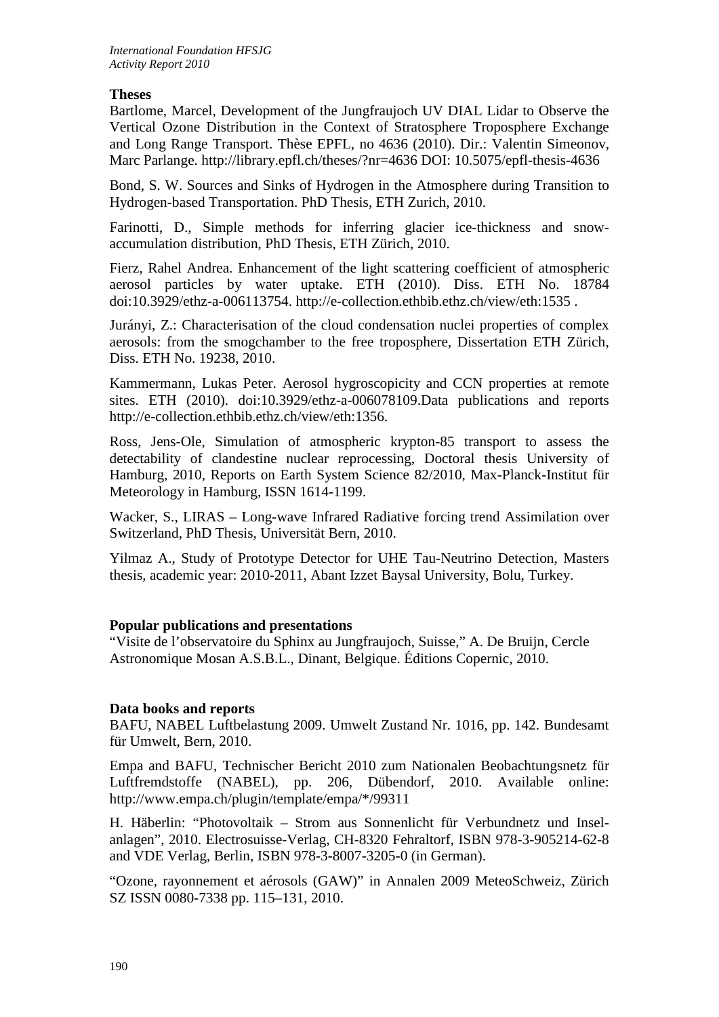## **Theses**

Bartlome, Marcel, Development of the Jungfraujoch UV DIAL Lidar to Observe the Vertical Ozone Distribution in the Context of Stratosphere Troposphere Exchange and Long Range Transport. Thèse EPFL, no 4636 (2010). Dir.: Valentin Simeonov, Marc Parlange. http://library.epfl.ch/theses/?nr=4636 DOI: 10.5075/epfl-thesis-4636

Bond, S. W. Sources and Sinks of Hydrogen in the Atmosphere during Transition to Hydrogen-based Transportation. PhD Thesis, ETH Zurich, 2010.

Farinotti, D., Simple methods for inferring glacier ice-thickness and snowaccumulation distribution, PhD Thesis, ETH Zürich, 2010.

Fierz, Rahel Andrea. Enhancement of the light scattering coefficient of atmospheric aerosol particles by water uptake. ETH (2010). Diss. ETH No. 18784 doi:10.3929/ethz-a-006113754. http://e-collection.ethbib.ethz.ch/view/eth:1535 .

Jurányi, Z.: Characterisation of the cloud condensation nuclei properties of complex aerosols: from the smogchamber to the free troposphere, Dissertation ETH Zürich, Diss. ETH No. 19238, 2010.

Kammermann, Lukas Peter. Aerosol hygroscopicity and CCN properties at remote sites. ETH (2010). doi:10.3929/ethz-a-006078109.Data publications and reports http://e-collection.ethbib.ethz.ch/view/eth:1356.

Ross, Jens-Ole, Simulation of atmospheric krypton-85 transport to assess the detectability of clandestine nuclear reprocessing, Doctoral thesis University of Hamburg, 2010, Reports on Earth System Science 82/2010, Max-Planck-Institut für Meteorology in Hamburg, ISSN 1614-1199.

Wacker, S., LIRAS – Long-wave Infrared Radiative forcing trend Assimilation over Switzerland, PhD Thesis, Universität Bern, 2010.

Yilmaz A., Study of Prototype Detector for UHE Tau-Neutrino Detection, Masters thesis, academic year: 2010-2011, Abant Izzet Baysal University, Bolu, Turkey.

## **Popular publications and presentations**

"Visite de l'observatoire du Sphinx au Jungfraujoch, Suisse," A. De Bruijn, Cercle Astronomique Mosan A.S.B.L., Dinant, Belgique. Éditions Copernic, 2010.

## **Data books and reports**

BAFU, NABEL Luftbelastung 2009. Umwelt Zustand Nr. 1016, pp. 142. Bundesamt für Umwelt, Bern, 2010.

Empa and BAFU, Technischer Bericht 2010 zum Nationalen Beobachtungsnetz für Luftfremdstoffe (NABEL), pp. 206, Dübendorf, 2010. Available online: http://www.empa.ch/plugin/template/empa/\*/99311

H. Häberlin: "Photovoltaik – Strom aus Sonnenlicht für Verbundnetz und Inselanlagen", 2010. Electrosuisse-Verlag, CH-8320 Fehraltorf, ISBN 978-3-905214-62-8 and VDE Verlag, Berlin, ISBN 978-3-8007-3205-0 (in German).

"Ozone, rayonnement et aérosols (GAW)" in Annalen 2009 MeteoSchweiz, Zürich SZ ISSN 0080-7338 pp. 115–131, 2010.